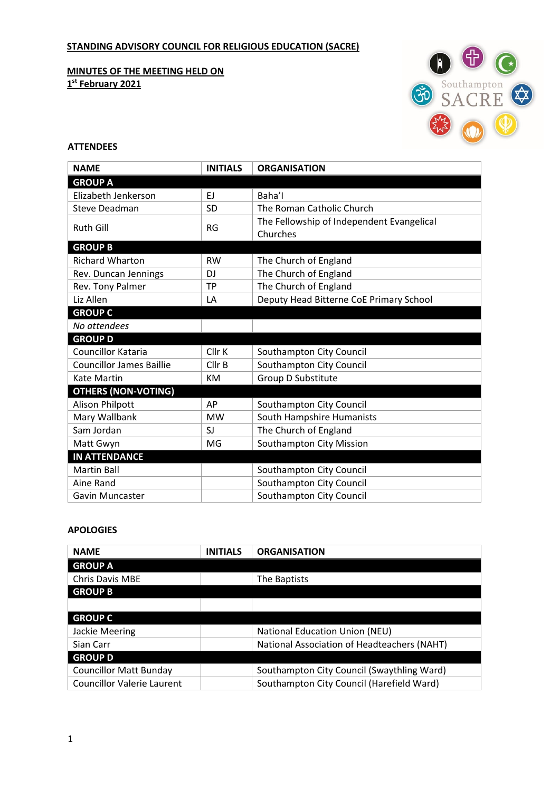# **STANDING ADVISORY COUNCIL FOR RELIGIOUS EDUCATION (SACRE)**

**MINUTES OF THE MEETING HELD ON 1st February 2021**



## **ATTENDEES**

| <b>NAME</b>                     | <b>INITIALS</b> | <b>ORGANISATION</b>                       |
|---------------------------------|-----------------|-------------------------------------------|
| <b>GROUP A</b>                  |                 |                                           |
| Elizabeth Jenkerson             | EJ              | Baha'l                                    |
| Steve Deadman                   | <b>SD</b>       | The Roman Catholic Church                 |
| <b>Ruth Gill</b>                | <b>RG</b>       | The Fellowship of Independent Evangelical |
|                                 |                 | Churches                                  |
| <b>GROUP B</b>                  |                 |                                           |
| <b>Richard Wharton</b>          | <b>RW</b>       | The Church of England                     |
| Rev. Duncan Jennings            | D.I             | The Church of England                     |
| Rev. Tony Palmer                | <b>TP</b>       | The Church of England                     |
| Liz Allen                       | LA              | Deputy Head Bitterne CoE Primary School   |
| <b>GROUP C</b>                  |                 |                                           |
| No attendees                    |                 |                                           |
| <b>GROUP D</b>                  |                 |                                           |
| <b>Councillor Kataria</b>       | Cllr K          | Southampton City Council                  |
| <b>Councillor James Baillie</b> | Cllr B          | Southampton City Council                  |
| Kate Martin                     | KM              | Group D Substitute                        |
| <b>OTHERS (NON-VOTING)</b>      |                 |                                           |
| <b>Alison Philpott</b>          | AP              | Southampton City Council                  |
| Mary Wallbank                   | <b>MW</b>       | South Hampshire Humanists                 |
| Sam Jordan                      | SJ              | The Church of England                     |
| Matt Gwyn                       | MG              | Southampton City Mission                  |
| <b>IN ATTENDANCE</b>            |                 |                                           |
| <b>Martin Ball</b>              |                 | Southampton City Council                  |
| Aine Rand                       |                 | Southampton City Council                  |
| Gavin Muncaster                 |                 | Southampton City Council                  |

## **APOLOGIES**

| <b>NAME</b>                       | <b>INITIALS</b> | <b>ORGANISATION</b>                         |
|-----------------------------------|-----------------|---------------------------------------------|
| <b>GROUP A</b>                    |                 |                                             |
| <b>Chris Davis MBE</b>            |                 | The Baptists                                |
| <b>GROUP B</b>                    |                 |                                             |
|                                   |                 |                                             |
| <b>GROUP C</b>                    |                 |                                             |
| Jackie Meering                    |                 | <b>National Education Union (NEU)</b>       |
| Sian Carr                         |                 | National Association of Headteachers (NAHT) |
| <b>GROUP D</b>                    |                 |                                             |
| <b>Councillor Matt Bunday</b>     |                 | Southampton City Council (Swaythling Ward)  |
| <b>Councillor Valerie Laurent</b> |                 | Southampton City Council (Harefield Ward)   |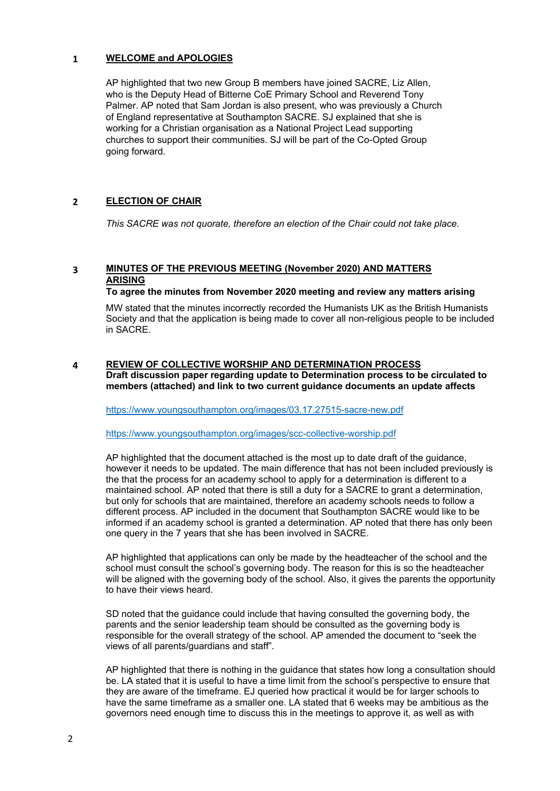## **1 WELCOME and APOLOGIES**

AP highlighted that two new Group B members have joined SACRE, Liz Allen, who is the Deputy Head of Bitterne CoE Primary School and Reverend Tony Palmer. AP noted that Sam Jordan is also present, who was previously a Church of England representative at Southampton SACRE. SJ explained that she is working for a Christian organisation as a National Project Lead supporting churches to support their communities. SJ will be part of the Co-Opted Group going forward.

# **2 ELECTION OF CHAIR**

*This SACRE was not quorate, therefore an election of the Chair could not take place.*

# **3 MINUTES OF THE PREVIOUS MEETING (November 2020) AND MATTERS ARISING**

## **To agree the minutes from November 2020 meeting and review any matters arising**

MW stated that the minutes incorrectly recorded the Humanists UK as the British Humanists Society and that the application is being made to cover all non-religious people to be included in SACRE.

#### **4 REVIEW OF COLLECTIVE WORSHIP AND DETERMINATION PROCESS Draft discussion paper regarding update to Determination process to be circulated to members (attached) and link to two current guidance documents an update affects**

[https://www.youngsouthampton.org/images/03.17.27515-sacre-new.pdf](https://urldefense.proofpoint.com/v2/url?u=https-3A__www.youngsouthampton.org_images_03.17.27515-2Dsacre-2Dnew.pdf&d=DwMFaQ&c=pbUzoxRZCRvayVvkYvkiMO6u1jPMdBrTZxWyx_2PsKs&r=SdWL9BZeFGKGSr71REeB55hkR6fd16DBcclFV-vleG4&m=Lg2itWbIZZbc10umoS8o79Funh7dsxQcG_s3JyKjHb0&s=wLbkYxkne77ZaALeRowqKgzQfoP_mYXS3R9cSonoyyA&e=)

[https://www.youngsouthampton.org/images/scc-collective-worship.pdf](https://urldefense.proofpoint.com/v2/url?u=https-3A__www.youngsouthampton.org_images_scc-2Dcollective-2Dworship.pdf&d=DwMFaQ&c=pbUzoxRZCRvayVvkYvkiMO6u1jPMdBrTZxWyx_2PsKs&r=SdWL9BZeFGKGSr71REeB55hkR6fd16DBcclFV-vleG4&m=Lg2itWbIZZbc10umoS8o79Funh7dsxQcG_s3JyKjHb0&s=obak1_NQXO7VWoiuY3qw51urtJWdipoqLsFWl5FpQm8&e=)

AP highlighted that the document attached is the most up to date draft of the guidance, however it needs to be updated. The main difference that has not been included previously is the that the process for an academy school to apply for a determination is different to a maintained school. AP noted that there is still a duty for a SACRE to grant a determination, but only for schools that are maintained, therefore an academy schools needs to follow a different process. AP included in the document that Southampton SACRE would like to be informed if an academy school is granted a determination. AP noted that there has only been one query in the 7 years that she has been involved in SACRE.

AP highlighted that applications can only be made by the headteacher of the school and the school must consult the school's governing body. The reason for this is so the headteacher will be aligned with the governing body of the school. Also, it gives the parents the opportunity to have their views heard.

SD noted that the guidance could include that having consulted the governing body, the parents and the senior leadership team should be consulted as the governing body is responsible for the overall strategy of the school. AP amended the document to "seek the views of all parents/guardians and staff".

AP highlighted that there is nothing in the guidance that states how long a consultation should be. LA stated that it is useful to have a time limit from the school's perspective to ensure that they are aware of the timeframe. EJ queried how practical it would be for larger schools to have the same timeframe as a smaller one. LA stated that 6 weeks may be ambitious as the governors need enough time to discuss this in the meetings to approve it, as well as with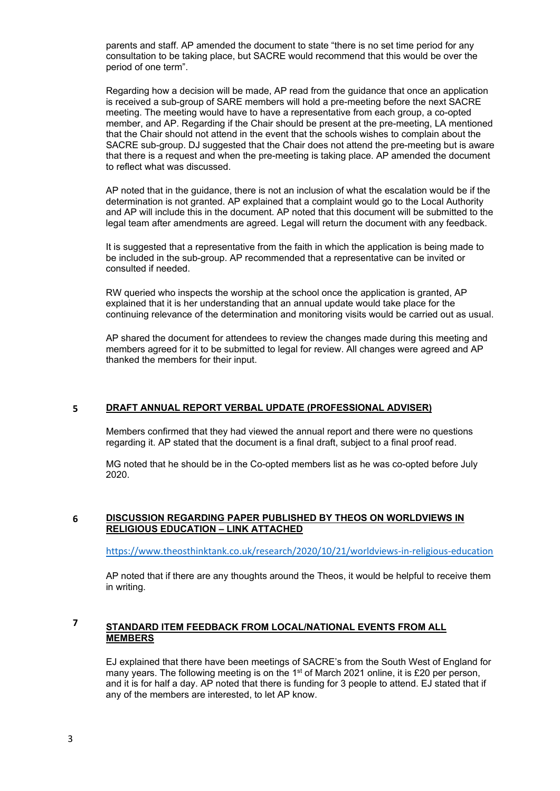parents and staff. AP amended the document to state "there is no set time period for any consultation to be taking place, but SACRE would recommend that this would be over the period of one term".

Regarding how a decision will be made, AP read from the guidance that once an application is received a sub-group of SARE members will hold a pre-meeting before the next SACRE meeting. The meeting would have to have a representative from each group, a co-opted member, and AP. Regarding if the Chair should be present at the pre-meeting, LA mentioned that the Chair should not attend in the event that the schools wishes to complain about the SACRE sub-group. DJ suggested that the Chair does not attend the pre-meeting but is aware that there is a request and when the pre-meeting is taking place. AP amended the document to reflect what was discussed.

AP noted that in the guidance, there is not an inclusion of what the escalation would be if the determination is not granted. AP explained that a complaint would go to the Local Authority and AP will include this in the document. AP noted that this document will be submitted to the legal team after amendments are agreed. Legal will return the document with any feedback.

It is suggested that a representative from the faith in which the application is being made to be included in the sub-group. AP recommended that a representative can be invited or consulted if needed.

RW queried who inspects the worship at the school once the application is granted, AP explained that it is her understanding that an annual update would take place for the continuing relevance of the determination and monitoring visits would be carried out as usual.

AP shared the document for attendees to review the changes made during this meeting and members agreed for it to be submitted to legal for review. All changes were agreed and AP thanked the members for their input.

## **5 DRAFT ANNUAL REPORT VERBAL UPDATE (PROFESSIONAL ADVISER)**

Members confirmed that they had viewed the annual report and there were no questions regarding it. AP stated that the document is a final draft, subject to a final proof read.

MG noted that he should be in the Co-opted members list as he was co-opted before July 2020.

#### **6 DISCUSSION REGARDING PAPER PUBLISHED BY THEOS ON WORLDVIEWS IN RELIGIOUS EDUCATION – LINK ATTACHED**

<https://www.theosthinktank.co.uk/research/2020/10/21/worldviews-in-religious-education>

AP noted that if there are any thoughts around the Theos, it would be helpful to receive them in writing.

# **<sup>7</sup> STANDARD ITEM FEEDBACK FROM LOCAL/NATIONAL EVENTS FROM ALL MEMBERS**

EJ explained that there have been meetings of SACRE's from the South West of England for many years. The following meeting is on the 1<sup>st</sup> of March 2021 online, it is £20 per person, and it is for half a day. AP noted that there is funding for 3 people to attend. EJ stated that if any of the members are interested, to let AP know.